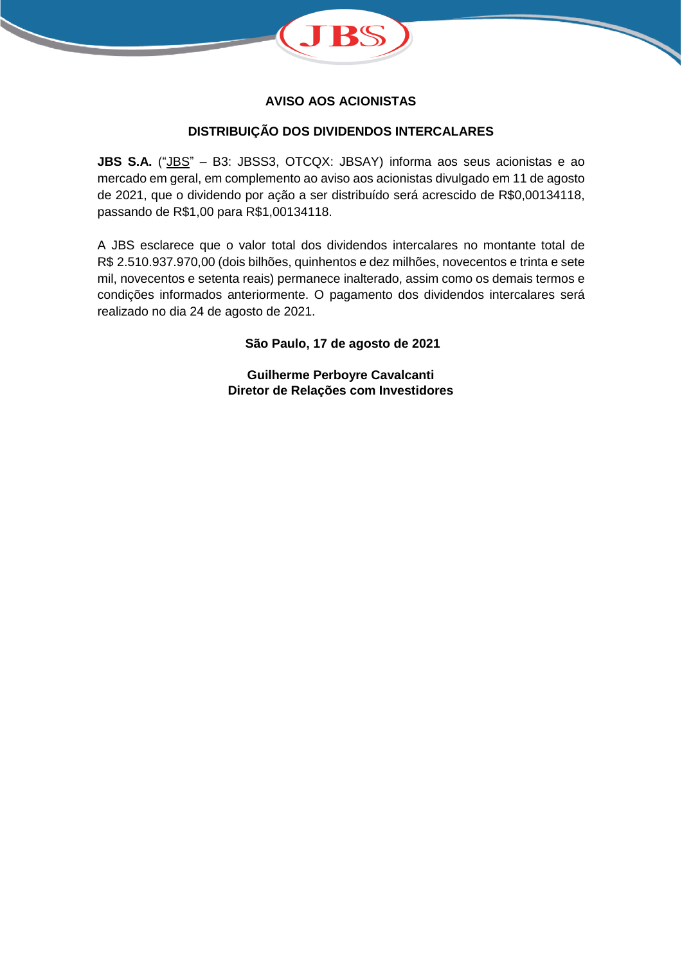

## **AVISO AOS ACIONISTAS**

## **DISTRIBUIÇÃO DOS DIVIDENDOS INTERCALARES**

**JBS S.A.** ("JBS" – B3: JBSS3, OTCQX: JBSAY) informa aos seus acionistas e ao mercado em geral, em complemento ao aviso aos acionistas divulgado em 11 de agosto de 2021, que o dividendo por ação a ser distribuído será acrescido de R\$0,00134118, passando de R\$1,00 para R\$1,00134118.

A JBS esclarece que o valor total dos dividendos intercalares no montante total de R\$ 2.510.937.970,00 (dois bilhões, quinhentos e dez milhões, novecentos e trinta e sete mil, novecentos e setenta reais) permanece inalterado, assim como os demais termos e condições informados anteriormente. O pagamento dos dividendos intercalares será realizado no dia 24 de agosto de 2021.

**São Paulo, 17 de agosto de 2021**

**Guilherme Perboyre Cavalcanti Diretor de Relações com Investidores**